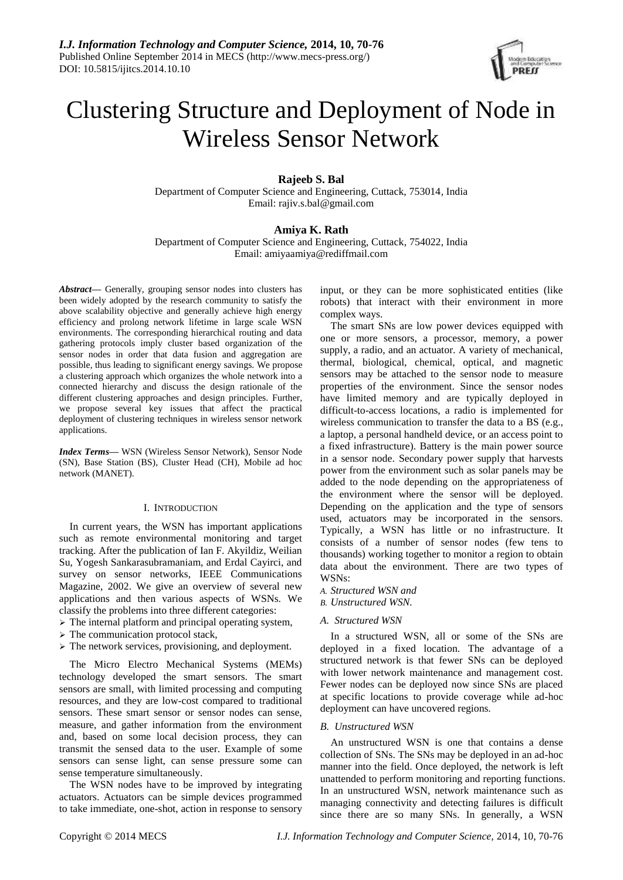

# Clustering Structure and Deployment of Node in Wireless Sensor Network

# **Rajeeb S. Bal**

Department of Computer Science and Engineering, Cuttack, 753014, India Email: rajiv.s.bal@gmail.com

# **Amiya K. Rath**

Department of Computer Science and Engineering, Cuttack, 754022, India Email: amiyaamiya@rediffmail.com

*Abstract***—** Generally, grouping sensor nodes into clusters has been widely adopted by the research community to satisfy the above scalability objective and generally achieve high energy efficiency and prolong network lifetime in large scale WSN environments. The corresponding hierarchical routing and data gathering protocols imply cluster based organization of the sensor nodes in order that data fusion and aggregation are possible, thus leading to significant energy savings. We propose a clustering approach which organizes the whole network into a connected hierarchy and discuss the design rationale of the different clustering approaches and design principles. Further, we propose several key issues that affect the practical deployment of clustering techniques in wireless sensor network applications.

*Index Terms***—** WSN (Wireless Sensor Network), Sensor Node (SN), Base Station (BS), Cluster Head (CH), Mobile ad hoc network (MANET).

# I. INTRODUCTION

In current years, the WSN has important applications such as remote environmental monitoring and target tracking. After the publication of Ian F. Akyildiz, Weilian Su, Yogesh Sankarasubramaniam, and Erdal Cayirci, and survey on sensor networks, IEEE Communications Magazine, 2002. We give an overview of several new applications and then various aspects of WSNs. We classify the problems into three different categories:

- $\triangleright$  The internal platform and principal operating system,
- $\triangleright$  The communication protocol stack,
- $\triangleright$  The network services, provisioning, and deployment.

The Micro Electro Mechanical Systems (MEMs) technology developed the smart sensors. The smart sensors are small, with limited processing and computing resources, and they are low-cost compared to traditional sensors. These smart sensor or sensor nodes can sense, measure, and gather information from the environment and, based on some local decision process, they can transmit the sensed data to the user. Example of some sensors can sense light, can sense pressure some can sense temperature simultaneously.

The WSN nodes have to be improved by integrating actuators. Actuators can be simple devices programmed to take immediate, one-shot, action in response to sensory

input, or they can be more sophisticated entities (like robots) that interact with their environment in more complex ways.

The smart SNs are low power devices equipped with one or more sensors, a processor, memory, a power supply, a radio, and an actuator. A variety of mechanical, thermal, biological, chemical, optical, and magnetic sensors may be attached to the sensor node to measure properties of the environment. Since the sensor nodes have limited memory and are typically deployed in difficult-to-access locations, a radio is implemented for wireless communication to transfer the data to a BS (e.g., a laptop, a personal handheld device, or an access point to a fixed infrastructure). Battery is the main power source in a sensor node. Secondary power supply that harvests power from the environment such as solar panels may be added to the node depending on the appropriateness of the environment where the sensor will be deployed. Depending on the application and the type of sensors used, actuators may be incorporated in the sensors. Typically, a WSN has little or no infrastructure. It consists of a number of sensor nodes (few tens to thousands) working together to monitor a region to obtain data about the environment. There are two types of WSNs:

- *A. Structured WSN and*
- *B. Unstructured WSN.*
- *A. Structured WSN*

In a structured WSN, all or some of the SNs are deployed in a fixed location. The advantage of a structured network is that fewer SNs can be deployed with lower network maintenance and management cost. Fewer nodes can be deployed now since SNs are placed at specific locations to provide coverage while ad-hoc deployment can have uncovered regions.

# *B. Unstructured WSN*

An unstructured WSN is one that contains a dense collection of SNs. The SNs may be deployed in an ad-hoc manner into the field. Once deployed, the network is left unattended to perform monitoring and reporting functions. In an unstructured WSN, network maintenance such as managing connectivity and detecting failures is difficult since there are so many SNs. In generally, a WSN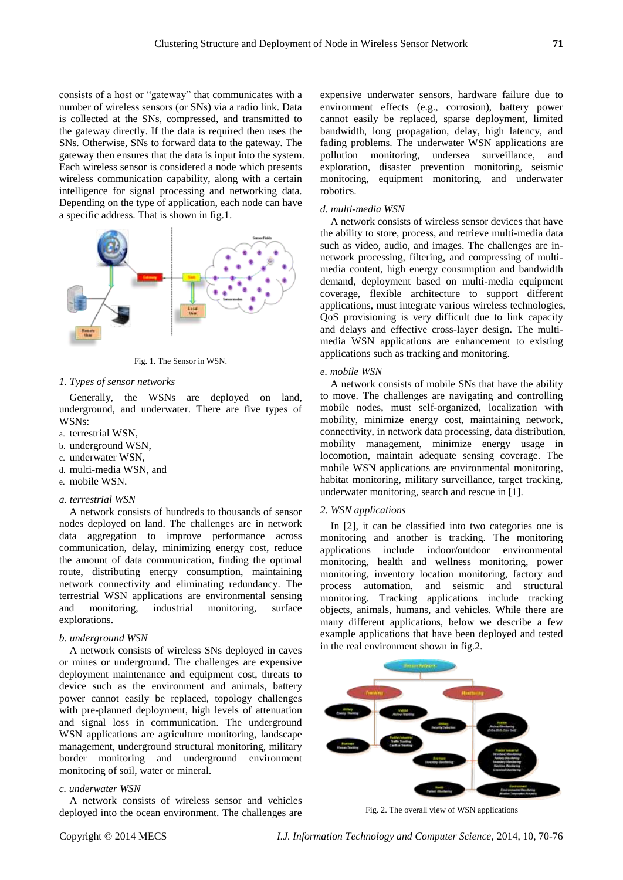consists of a host or "gateway" that communicates with a number of wireless sensors (or SNs) via a radio link. Data is collected at the SNs, compressed, and transmitted to the gateway directly. If the data is required then uses the SNs. Otherwise, SNs to forward data to the gateway. The gateway then ensures that the data is input into the system. Each wireless sensor is considered a node which presents wireless communication capability, along with a certain intelligence for signal processing and networking data. Depending on the type of application, each node can have a specific address. That is shown in fig.1.



Fig. 1. The Sensor in WSN.

# *1. Types of sensor networks*

Generally, the WSNs are deployed on land, underground, and underwater. There are five types of WSN<sub>c</sub>.

- a. terrestrial WSN,
- b. underground WSN,
- c. underwater WSN,
- d. multi-media WSN, and
- e. mobile WSN.

# *a. terrestrial WSN*

A network consists of hundreds to thousands of sensor nodes deployed on land. The challenges are in network data aggregation to improve performance across communication, delay, minimizing energy cost, reduce the amount of data communication, finding the optimal route, distributing energy consumption, maintaining network connectivity and eliminating redundancy. The terrestrial WSN applications are environmental sensing and monitoring, industrial monitoring, surface explorations.

# *b. underground WSN*

A network consists of wireless SNs deployed in caves or mines or underground. The challenges are expensive deployment maintenance and equipment cost, threats to device such as the environment and animals, battery power cannot easily be replaced, topology challenges with pre-planned deployment, high levels of attenuation and signal loss in communication. The underground WSN applications are agriculture monitoring, landscape management, underground structural monitoring, military border monitoring and underground environment monitoring of soil, water or mineral.

#### *c. underwater WSN*

A network consists of wireless sensor and vehicles deployed into the ocean environment. The challenges are

expensive underwater sensors, hardware failure due to environment effects (e.g., corrosion), battery power cannot easily be replaced, sparse deployment, limited bandwidth, long propagation, delay, high latency, and fading problems. The underwater WSN applications are pollution monitoring, undersea surveillance, and exploration, disaster prevention monitoring, seismic monitoring, equipment monitoring, and underwater robotics.

# *d. multi-media WSN*

A network consists of wireless sensor devices that have the ability to store, process, and retrieve multi-media data such as video, audio, and images. The challenges are innetwork processing, filtering, and compressing of multimedia content, high energy consumption and bandwidth demand, deployment based on multi-media equipment coverage, flexible architecture to support different applications, must integrate various wireless technologies, QoS provisioning is very difficult due to link capacity and delays and effective cross-layer design. The multimedia WSN applications are enhancement to existing applications such as tracking and monitoring.

## *e. mobile WSN*

A network consists of mobile SNs that have the ability to move. The challenges are navigating and controlling mobile nodes, must self-organized, localization with mobility, minimize energy cost, maintaining network, connectivity, in network data processing, data distribution, mobility management, minimize energy usage in locomotion, maintain adequate sensing coverage. The mobile WSN applications are environmental monitoring, habitat monitoring, military surveillance, target tracking, underwater monitoring, search and rescue in [1].

#### *2. WSN applications*

In [2], it can be classified into two categories one is monitoring and another is tracking. The monitoring applications include indoor/outdoor environmental monitoring, health and wellness monitoring, power monitoring, inventory location monitoring, factory and process automation, and seismic and structural monitoring. Tracking applications include tracking objects, animals, humans, and vehicles. While there are many different applications, below we describe a few example applications that have been deployed and tested in the real environment shown in fig.2.



Fig. 2. The overall view of WSN applications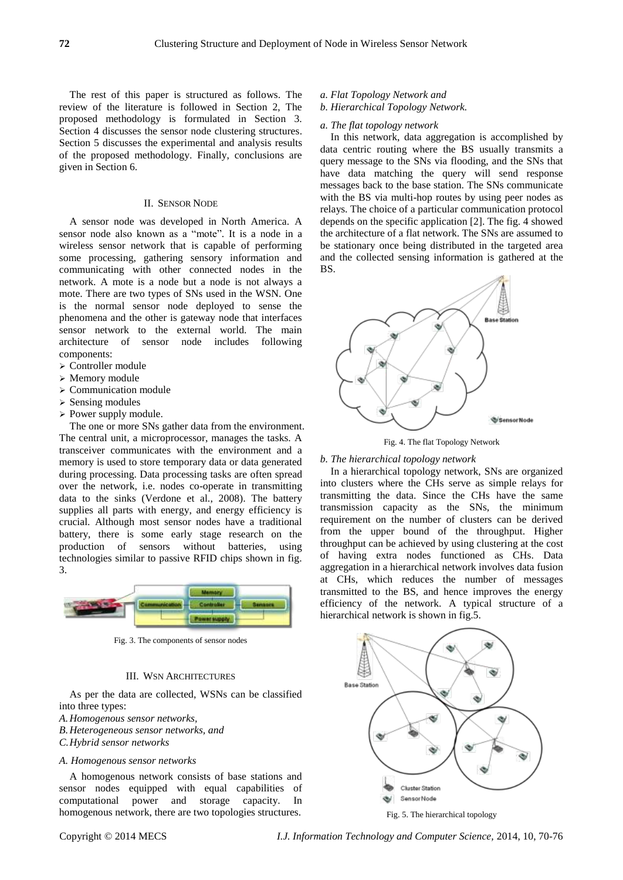The rest of this paper is structured as follows. The review of the literature is followed in Section 2, The proposed methodology is formulated in Section 3. Section 4 discusses the sensor node clustering structures. Section 5 discusses the experimental and analysis results of the proposed methodology. Finally, conclusions are given in Section 6.

# II. SENSOR NODE

A sensor node was developed in North America. A sensor node also known as a "mote". It is a node in a wireless sensor network that is capable of performing some processing, gathering sensory information and communicating with other connected nodes in the network. A mote is a node but a node is not always a mote. There are two types of SNs used in the WSN. One is the normal sensor node deployed to sense the phenomena and the other is gateway node that interfaces sensor network to the external world. The main architecture of sensor node includes following components:

- Controller module
- Memory module
- $\triangleright$  Communication module
- $\triangleright$  Sensing modules
- $\triangleright$  Power supply module.

The one or more SNs gather data from the environment. The central unit, a microprocessor, manages the tasks. A transceiver communicates with the environment and a memory is used to store temporary data or data generated during processing. Data processing tasks are often spread over the network, i.e. nodes co-operate in transmitting data to the sinks (Verdone et al., 2008). The battery supplies all parts with energy, and energy efficiency is crucial. Although most sensor nodes have a traditional battery, there is some early stage research on the production of sensors without batteries, using technologies similar to passive RFID chips shown in fig. 3.



Fig. 3. The components of sensor nodes

# III. WSN ARCHITECTURES

As per the data are collected, WSNs can be classified into three types:

*A.Homogenous sensor networks,* 

*B.Heterogeneous sensor networks, and*

*C.Hybrid sensor networks*

# *A. Homogenous sensor networks*

A homogenous network consists of base stations and sensor nodes equipped with equal capabilities of computational power and storage capacity. In homogenous network, there are two topologies structures.

- *a. Flat Topology Network and*
- *b. Hierarchical Topology Network.*

# *a. The flat topology network*

In this network, data aggregation is accomplished by data centric routing where the BS usually transmits a query message to the SNs via flooding, and the SNs that have data matching the query will send response messages back to the base station. The SNs communicate with the BS via multi-hop routes by using peer nodes as relays. The choice of a particular communication protocol depends on the specific application [2]. The fig. 4 showed the architecture of a flat network. The SNs are assumed to be stationary once being distributed in the targeted area and the collected sensing information is gathered at the BS.



Fig. 4. The flat Topology Network

#### *b. The hierarchical topology network*

In a hierarchical topology network, SNs are organized into clusters where the CHs serve as simple relays for transmitting the data. Since the CHs have the same transmission capacity as the SNs, the minimum requirement on the number of clusters can be derived from the upper bound of the throughput. Higher throughput can be achieved by using clustering at the cost of having extra nodes functioned as CHs. Data aggregation in a hierarchical network involves data fusion at CHs, which reduces the number of messages transmitted to the BS, and hence improves the energy efficiency of the network. A typical structure of a hierarchical network is shown in fig.5.



Fig. 5. The hierarchical topology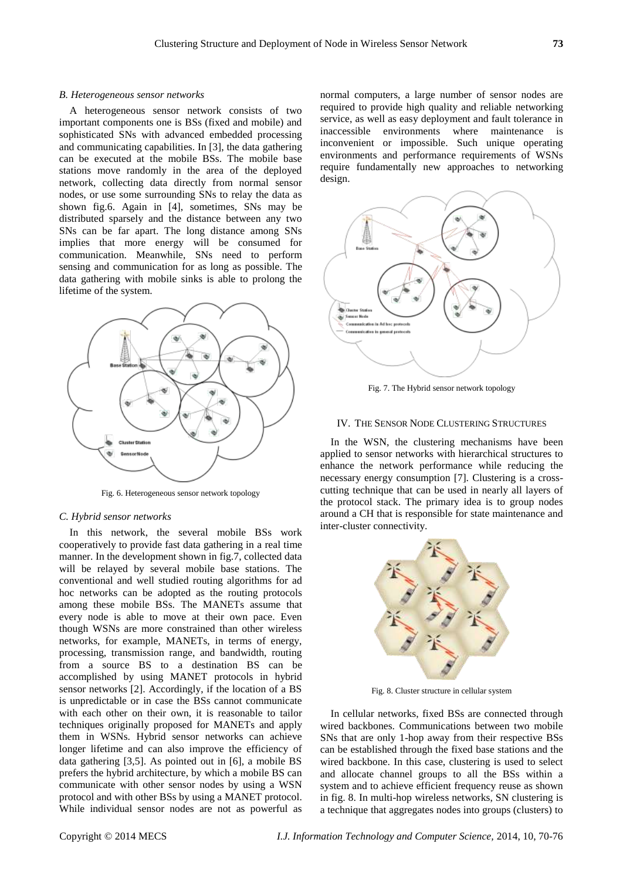#### *B. Heterogeneous sensor networks*

A heterogeneous sensor network consists of two important components one is BSs (fixed and mobile) and sophisticated SNs with advanced embedded processing and communicating capabilities. In [3], the data gathering can be executed at the mobile BSs. The mobile base stations move randomly in the area of the deployed network, collecting data directly from normal sensor nodes, or use some surrounding SNs to relay the data as shown fig.6. Again in [4], sometimes, SNs may be distributed sparsely and the distance between any two SNs can be far apart. The long distance among SNs implies that more energy will be consumed for communication. Meanwhile, SNs need to perform sensing and communication for as long as possible. The data gathering with mobile sinks is able to prolong the lifetime of the system.



Fig. 6. Heterogeneous sensor network topology

#### *C. Hybrid sensor networks*

In this network, the several mobile BSs work cooperatively to provide fast data gathering in a real time manner. In the development shown in fig.7, collected data will be relayed by several mobile base stations. The conventional and well studied routing algorithms for ad hoc networks can be adopted as the routing protocols among these mobile BSs. The MANETs assume that every node is able to move at their own pace. Even though WSNs are more constrained than other wireless networks, for example, MANETs, in terms of energy, processing, transmission range, and bandwidth, routing from a source BS to a destination BS can be accomplished by using MANET protocols in hybrid sensor networks [2]. Accordingly, if the location of a BS is unpredictable or in case the BSs cannot communicate with each other on their own, it is reasonable to tailor techniques originally proposed for MANETs and apply them in WSNs. Hybrid sensor networks can achieve longer lifetime and can also improve the efficiency of data gathering [3,5]. As pointed out in [6], a mobile BS prefers the hybrid architecture, by which a mobile BS can communicate with other sensor nodes by using a WSN protocol and with other BSs by using a MANET protocol. While individual sensor nodes are not as powerful as

normal computers, a large number of sensor nodes are required to provide high quality and reliable networking service, as well as easy deployment and fault tolerance in inaccessible environments where maintenance is inconvenient or impossible. Such unique operating environments and performance requirements of WSNs require fundamentally new approaches to networking design.



Fig. 7. The Hybrid sensor network topology

# IV. THE SENSOR NODE CLUSTERING STRUCTURES

In the WSN, the clustering mechanisms have been applied to sensor networks with hierarchical structures to enhance the network performance while reducing the necessary energy consumption [7]. Clustering is a crosscutting technique that can be used in nearly all layers of the protocol stack. The primary idea is to group nodes around a CH that is responsible for state maintenance and inter-cluster connectivity.



Fig. 8. Cluster structure in cellular system

In cellular networks, fixed BSs are connected through wired backbones. Communications between two mobile SNs that are only 1-hop away from their respective BSs can be established through the fixed base stations and the wired backbone. In this case, clustering is used to select and allocate channel groups to all the BSs within a system and to achieve efficient frequency reuse as shown in fig. 8. In multi-hop wireless networks, SN clustering is a technique that aggregates nodes into groups (clusters) to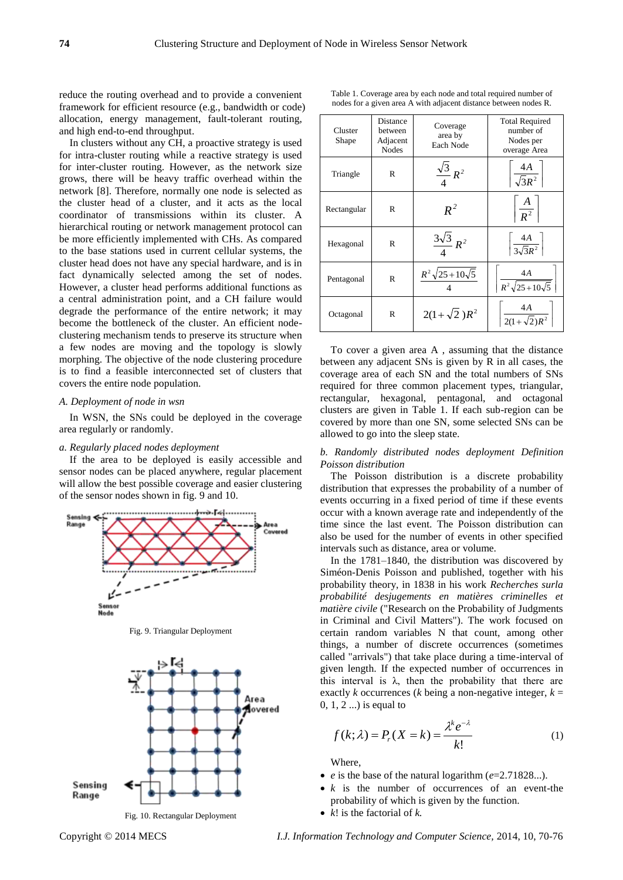reduce the routing overhead and to provide a convenient framework for efficient resource (e.g., bandwidth or code) allocation, energy management, fault-tolerant routing, and high end-to-end throughput.

In clusters without any CH, a proactive strategy is used for intra-cluster routing while a reactive strategy is used for inter-cluster routing. However, as the network size grows, there will be heavy traffic overhead within the network [8]. Therefore, normally one node is selected as the cluster head of a cluster, and it acts as the local coordinator of transmissions within its cluster. A hierarchical routing or network management protocol can be more efficiently implemented with CHs. As compared to the base stations used in current cellular systems, the cluster head does not have any special hardware, and is in fact dynamically selected among the set of nodes. However, a cluster head performs additional functions as a central administration point, and a CH failure would degrade the performance of the entire network; it may become the bottleneck of the cluster. An efficient nodeclustering mechanism tends to preserve its structure when a few nodes are moving and the topology is slowly morphing. The objective of the node clustering procedure is to find a feasible interconnected set of clusters that covers the entire node population.

#### *A. Deployment of node in wsn*

In WSN, the SNs could be deployed in the coverage area regularly or randomly.

# *a. Regularly placed nodes deployment*

If the area to be deployed is easily accessible and sensor nodes can be placed anywhere, regular placement will allow the best possible coverage and easier clustering of the sensor nodes shown in fig. 9 and 10.



Fig. 9. Triangular Deployment



| Cluster<br>Shape | Distance<br>between<br>Adjacent<br><b>Nodes</b> | Coverage<br>area by<br>Each Node | <b>Total Required</b><br>number of<br>Nodes per<br>overage Area |
|------------------|-------------------------------------------------|----------------------------------|-----------------------------------------------------------------|
| Triangle         | R                                               | $\frac{\sqrt{3}}{R^2}$           | $\frac{4A}{\sqrt{3}R^2}$                                        |
| Rectangular      | R                                               | $R^2$                            | $\left \frac{A}{R^2}\right $                                    |
| Hexagonal        | R                                               | $\frac{3\sqrt{3}}{R^2}R^2$       | $\frac{4A}{3\sqrt{3}R^2}$                                       |
| Pentagonal       | $\mathbb{R}$                                    | $R^2\sqrt{25+10\sqrt{5}}$        | 4A<br>$R^2\sqrt{25+10\sqrt{5}}$                                 |
| Octagonal        | R                                               | $2(1+\sqrt{2})R^2$               | $\frac{4A}{2(1+\sqrt{2})R^2}$                                   |
|                  |                                                 |                                  |                                                                 |

To cover a given area A , assuming that the distance between any adjacent SNs is given by R in all cases, the coverage area of each SN and the total numbers of SNs required for three common placement types, triangular, rectangular, hexagonal, pentagonal, and octagonal clusters are given in Table 1. If each sub-region can be covered by more than one SN, some selected SNs can be allowed to go into the sleep state.

# *b. Randomly distributed nodes deployment Definition Poisson distribution*

The Poisson distribution is a discrete probability distribution that expresses the probability of a number of events occurring in a fixed period of time if these events occur with a known average rate and independently of the time since the last event. The Poisson distribution can also be used for the number of events in other specified intervals such as distance, area or volume.

In the 1781–1840, the distribution was discovered by Siméon-Denis Poisson and published, together with his probability theory, in 1838 in his work *Recherches surla probabilité desjugements en matières criminelles et matière civile* ("Research on the Probability of Judgments in Criminal and Civil Matters"). The work focused on certain random variables N that count, among other things, a number of discrete occurrences (sometimes called "arrivals") that take place during a time-interval of given length. If the expected number of occurrences in this interval is  $\lambda$ , then the probability that there are exactly *k* occurrences (*k* being a non-negative integer,  $k =$ 0, 1, 2 ...) is equal to

$$
f(k; \lambda) = P_r(X = k) = \frac{\lambda^k e^{-\lambda}}{k!}
$$
 (1)

Where,

- *e* is the base of the natural logarithm (*e*=2.71828...).
- *k* is the number of occurrences of an event-the probability of which is given by the function.
- *k*! is the factorial of *k.*

Copyright © 2014 MECS *I.J. Information Technology and Computer Science,* 2014, 10, 70-76

Table 1. Coverage area by each node and total required number of nodes for a given area A with adjacent distance between nodes R.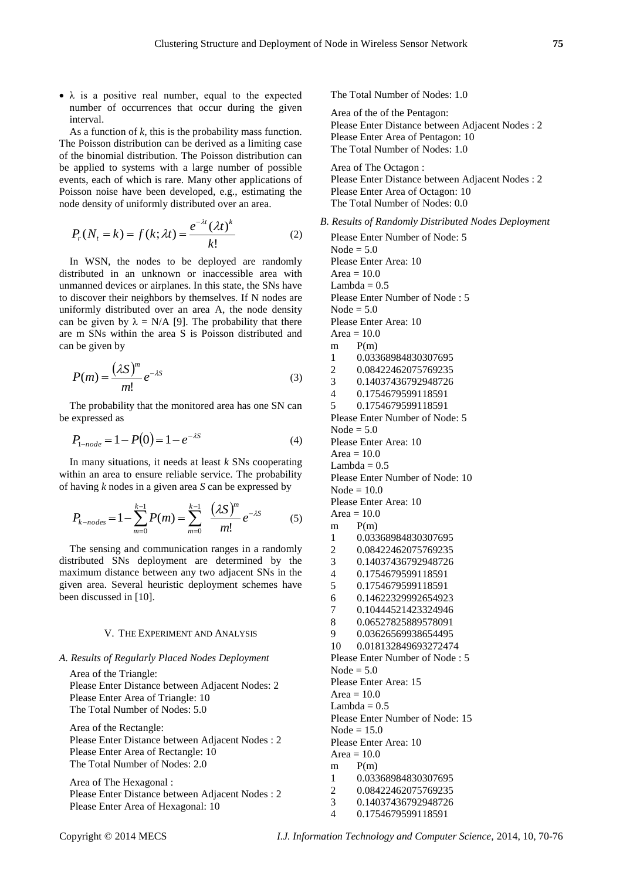$\bullet$   $\lambda$  is a positive real number, equal to the expected number of occurrences that occur during the given interval.

As a function of *k*, this is the probability mass function. The Poisson distribution can be derived as a limiting case of the binomial distribution. The Poisson distribution can be applied to systems with a large number of possible events, each of which is rare. Many other applications of Poisson noise have been developed, e.g., estimating the node density of uniformly distributed over an area.

$$
P_r(N_t = k) = f(k; \lambda t) = \frac{e^{-\lambda t} (\lambda t)^k}{k!}
$$
 (2)

In WSN, the nodes to be deployed are randomly distributed in an unknown or inaccessible area with unmanned devices or airplanes. In this state, the SNs have to discover their neighbors by themselves. If N nodes are uniformly distributed over an area A, the node density can be given by  $\lambda = N/A$  [9]. The probability that there are m SNs within the area S is Poisson distributed and can be given by

$$
P(m) = \frac{(\lambda S)^m}{m!} e^{-\lambda S}
$$
 (3)

The probability that the monitored area has one SN can be expressed as

$$
P_{1-node} = 1 - P(0) = 1 - e^{-\lambda S}
$$
 (4)

In many situations, it needs at least *k* SNs cooperating within an area to ensure reliable service. The probability of having *k* nodes in a given area *S* can be expressed by

$$
P_{k-nodes} = 1 - \sum_{m=0}^{k-1} P(m) = \sum_{m=0}^{k-1} \frac{(\lambda S)^m}{m!} e^{-\lambda S}
$$
 (5)

The sensing and communication ranges in a randomly distributed SNs deployment are determined by the maximum distance between any two adjacent SNs in the given area. Several heuristic deployment schemes have been discussed in [10].

# V. THE EXPERIMENT AND ANALYSIS

# *A. Results of Regularly Placed Nodes Deployment*

Area of the Triangle: Please Enter Distance between Adjacent Nodes: 2 Please Enter Area of Triangle: 10 The Total Number of Nodes: 5.0

Area of the Rectangle: Please Enter Distance between Adjacent Nodes : 2 Please Enter Area of Rectangle: 10 The Total Number of Nodes: 2.0

Area of The Hexagonal : Please Enter Distance between Adjacent Nodes : 2 Please Enter Area of Hexagonal: 10

The Total Number of Nodes: 1.0

Area of the of the Pentagon: Please Enter Distance between Adjacent Nodes : 2 Please Enter Area of Pentagon: 10 The Total Number of Nodes: 1.0

Area of The Octagon : Please Enter Distance between Adjacent Nodes : 2 Please Enter Area of Octagon: 10 The Total Number of Nodes: 0.0

*B. Results of Randomly Distributed Nodes Deployment*

Please Enter Number of Node: 5 Node  $= 5.0$ Please Enter Area: 10 Area  $= 10.0$ Lambda  $= 0.5$ Please Enter Number of Node : 5 Node  $= 5.0$ Please Enter Area: 10 Area  $= 10.0$  $m$  P(m) 1 0.03368984830307695 2 0.08422462075769235 3 0.14037436792948726 4 0.1754679599118591 5 0.1754679599118591 Please Enter Number of Node: 5 Node  $= 5.0$ Please Enter Area: 10 Area  $= 10.0$ Lambda  $= 0.5$ Please Enter Number of Node: 10  $Node = 10.0$ Please Enter Area: 10 Area  $= 10.0$  $m$   $P(m)$ 1 0.03368984830307695 2 0.08422462075769235 3 0.14037436792948726 4 0.1754679599118591 5 0.1754679599118591 6 0.14622329992654923 7 0.10444521423324946 8 0.06527825889578091 9 0.03626569938654495 10 0.018132849693272474 Please Enter Number of Node : 5 Node  $= 5.0$ Please Enter Area: 15 Area  $= 10.0$ Lambda  $= 0.5$ Please Enter Number of Node: 15 Node  $= 15.0$ Please Enter Area: 10 Area  $= 10.0$ m P(m) 1 0.03368984830307695 2 0.08422462075769235 3 0.14037436792948726 4 0.1754679599118591